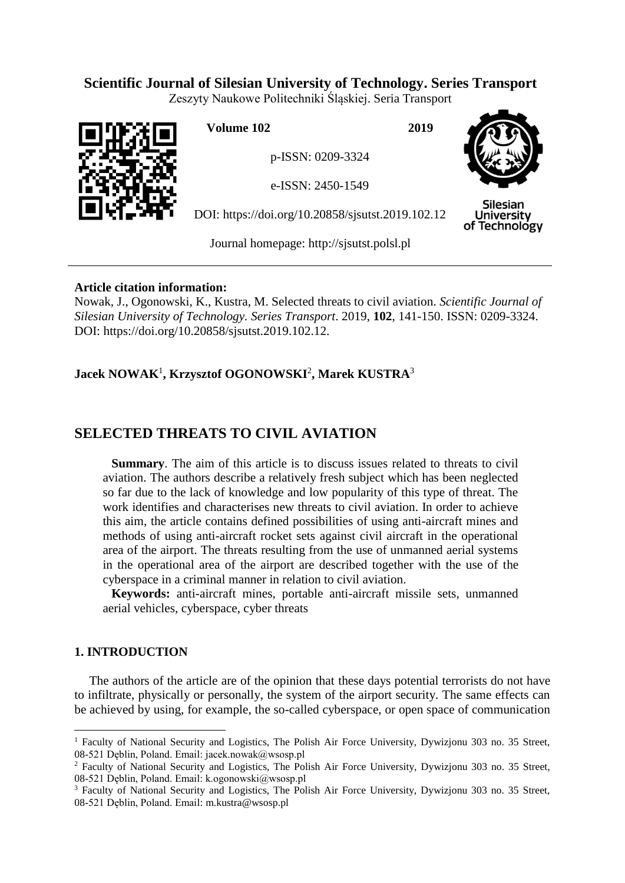## **Scientific Journal of Silesian University of Technology. Series Transport**

Zeszyty Naukowe Politechniki Śląskiej. Seria Transport



**Volume 102 2019**

p-ISSN: 0209-3324

e-ISSN: 2450-1549

DOI: https://doi.org/10.20858/sjsutst.2019.102.12



**Silesian University** of Technology

Journal homepage: [http://sjsutst.polsl.pl](http://sjsutst.polsl.pl/)

## **Article citation information:**

Nowak, J., Ogonowski, K., Kustra, M. Selected threats to civil aviation. *Scientific Journal of Silesian University of Technology. Series Transport*. 2019, **102**, 141-150. ISSN: 0209-3324. DOI: https://doi.org/10.20858/sjsutst.2019.102.12.

# **Jacek NOWAK**<sup>1</sup> **, Krzysztof OGONOWSKI**<sup>2</sup> **, Marek KUSTRA**<sup>3</sup>

# **SELECTED THREATS TO CIVIL AVIATION**

**Summary**. The aim of this article is to discuss issues related to threats to civil aviation. The authors describe a relatively fresh subject which has been neglected so far due to the lack of knowledge and low popularity of this type of threat. The work identifies and characterises new threats to civil aviation. In order to achieve this aim, the article contains defined possibilities of using anti-aircraft mines and methods of using anti-aircraft rocket sets against civil aircraft in the operational area of the airport. The threats resulting from the use of unmanned aerial systems in the operational area of the airport are described together with the use of the cyberspace in a criminal manner in relation to civil aviation.

**Keywords:** anti-aircraft mines, portable anti-aircraft missile sets, unmanned aerial vehicles, cyberspace, cyber threats

## **1. INTRODUCTION**

 $\overline{a}$ 

The authors of the article are of the opinion that these days potential terrorists do not have to infiltrate, physically or personally, the system of the airport security. The same effects can be achieved by using, for example, the so-called cyberspace, or open space of communication

<sup>&</sup>lt;sup>1</sup> Faculty of National Security and Logistics, The Polish Air Force University, Dywizjonu 303 no. 35 Street, 08-521 Dęblin, Poland. Email: jacek.nowak@wsosp.pl

<sup>&</sup>lt;sup>2</sup> Faculty of National Security and Logistics, The Polish Air Force University, Dywizjonu 303 no. 35 Street, 08-521 Dęblin, Poland. Email: k.ogonowski@wsosp.pl

<sup>&</sup>lt;sup>3</sup> Faculty of National Security and Logistics, The Polish Air Force University, Dywizjonu 303 no. 35 Street, 08-521 Dęblin, Poland. Email: m.kustra@wsosp.pl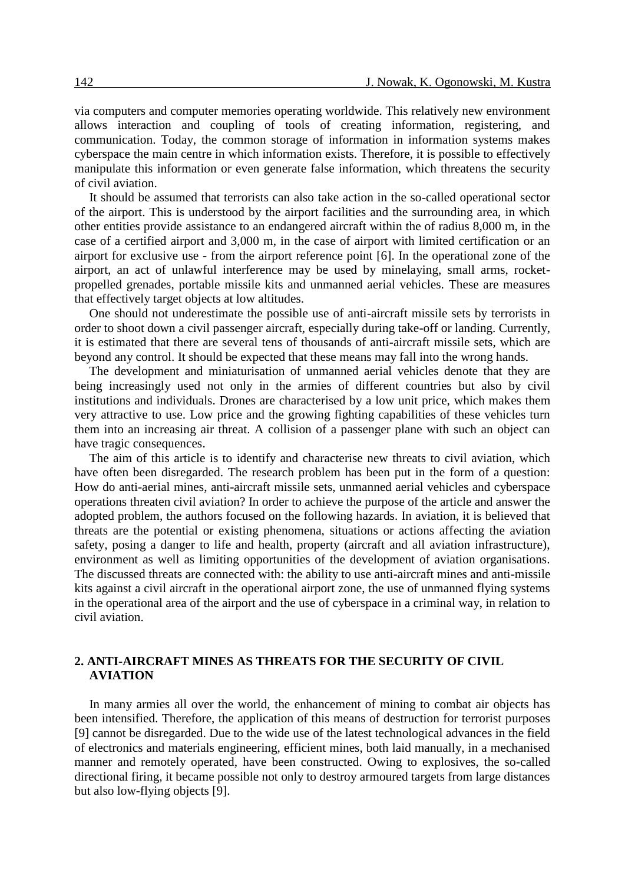via computers and computer memories operating worldwide. This relatively new environment allows interaction and coupling of tools of creating information, registering, and communication. Today, the common storage of information in information systems makes cyberspace the main centre in which information exists. Therefore, it is possible to effectively manipulate this information or even generate false information, which threatens the security of civil aviation.

It should be assumed that terrorists can also take action in the so-called operational sector of the airport. This is understood by the airport facilities and the surrounding area, in which other entities provide assistance to an endangered aircraft within the of radius 8,000 m, in the case of a certified airport and 3,000 m, in the case of airport with limited certification or an airport for exclusive use - from the airport reference point [6]. In the operational zone of the airport, an act of unlawful interference may be used by minelaying, small arms, rocketpropelled grenades, portable missile kits and unmanned aerial vehicles. These are measures that effectively target objects at low altitudes.

One should not underestimate the possible use of anti-aircraft missile sets by terrorists in order to shoot down a civil passenger aircraft, especially during take-off or landing. Currently, it is estimated that there are several tens of thousands of anti-aircraft missile sets, which are beyond any control. It should be expected that these means may fall into the wrong hands.

The development and miniaturisation of unmanned aerial vehicles denote that they are being increasingly used not only in the armies of different countries but also by civil institutions and individuals. Drones are characterised by a low unit price, which makes them very attractive to use. Low price and the growing fighting capabilities of these vehicles turn them into an increasing air threat. A collision of a passenger plane with such an object can have tragic consequences.

The aim of this article is to identify and characterise new threats to civil aviation, which have often been disregarded. The research problem has been put in the form of a question: How do anti-aerial mines, anti-aircraft missile sets, unmanned aerial vehicles and cyberspace operations threaten civil aviation? In order to achieve the purpose of the article and answer the adopted problem, the authors focused on the following hazards. In aviation, it is believed that threats are the potential or existing phenomena, situations or actions affecting the aviation safety, posing a danger to life and health, property (aircraft and all aviation infrastructure), environment as well as limiting opportunities of the development of aviation organisations. The discussed threats are connected with: the ability to use anti-aircraft mines and anti-missile kits against a civil aircraft in the operational airport zone, the use of unmanned flying systems in the operational area of the airport and the use of cyberspace in a criminal way, in relation to civil aviation.

#### **2. ANTI-AIRCRAFT MINES AS THREATS FOR THE SECURITY OF CIVIL AVIATION**

In many armies all over the world, the enhancement of mining to combat air objects has been intensified. Therefore, the application of this means of destruction for terrorist purposes [9] cannot be disregarded. Due to the wide use of the latest technological advances in the field of electronics and materials engineering, efficient mines, both laid manually, in a mechanised manner and remotely operated, have been constructed. Owing to explosives, the so-called directional firing, it became possible not only to destroy armoured targets from large distances but also low-flying objects [9].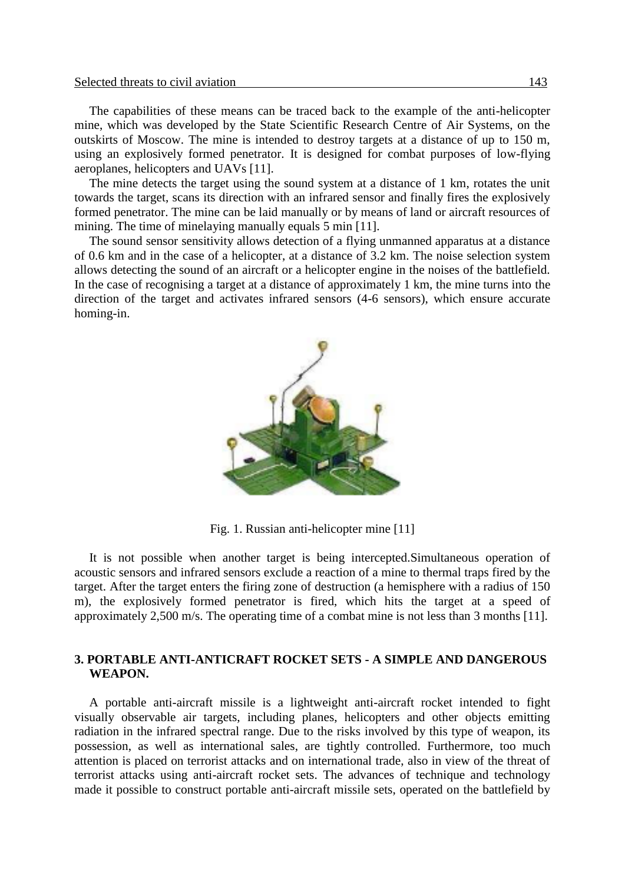The capabilities of these means can be traced back to the example of the anti-helicopter mine, which was developed by the State Scientific Research Centre of Air Systems, on the outskirts of Moscow. The mine is intended to destroy targets at a distance of up to 150 m, using an explosively formed penetrator. It is designed for combat purposes of low-flying aeroplanes, helicopters and UAVs [11].

The mine detects the target using the sound system at a distance of 1 km, rotates the unit towards the target, scans its direction with an infrared sensor and finally fires the explosively formed penetrator. The mine can be laid manually or by means of land or aircraft resources of mining. The time of minelaying manually equals 5 min [11].

The sound sensor sensitivity allows detection of a flying unmanned apparatus at a distance of 0.6 km and in the case of a helicopter, at a distance of 3.2 km. The noise selection system allows detecting the sound of an aircraft or a helicopter engine in the noises of the battlefield. In the case of recognising a target at a distance of approximately 1 km, the mine turns into the direction of the target and activates infrared sensors (4-6 sensors), which ensure accurate homing-in.



Fig. 1. Russian anti-helicopter mine [11]

It is not possible when another target is being intercepted.Simultaneous operation of acoustic sensors and infrared sensors exclude a reaction of a mine to thermal traps fired by the target. After the target enters the firing zone of destruction (a hemisphere with a radius of 150 m), the explosively formed penetrator is fired, which hits the target at a speed of approximately 2,500 m/s. The operating time of a combat mine is not less than 3 months [11].

#### **3. PORTABLE ANTI-ANTICRAFT ROCKET SETS - A SIMPLE AND DANGEROUS WEAPON.**

A portable anti-aircraft missile is a lightweight anti-aircraft rocket intended to fight visually observable air targets, including planes, helicopters and other objects emitting radiation in the infrared spectral range. Due to the risks involved by this type of weapon, its possession, as well as international sales, are tightly controlled. Furthermore, too much attention is placed on terrorist attacks and on international trade, also in view of the threat of terrorist attacks using anti-aircraft rocket sets. The advances of technique and technology made it possible to construct portable anti-aircraft missile sets, operated on the battlefield by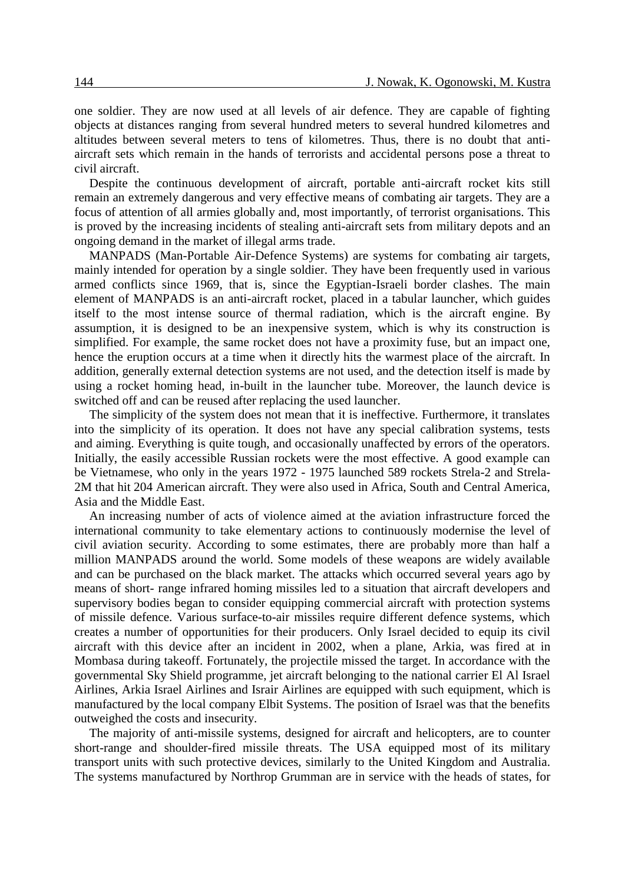one soldier. They are now used at all levels of air defence. They are capable of fighting objects at distances ranging from several hundred meters to several hundred kilometres and altitudes between several meters to tens of kilometres. Thus, there is no doubt that antiaircraft sets which remain in the hands of terrorists and accidental persons pose a threat to civil aircraft.

Despite the continuous development of aircraft, portable anti-aircraft rocket kits still remain an extremely dangerous and very effective means of combating air targets. They are a focus of attention of all armies globally and, most importantly, of terrorist organisations. This is proved by the increasing incidents of stealing anti-aircraft sets from military depots and an ongoing demand in the market of illegal arms trade.

MANPADS (Man-Portable Air-Defence Systems) are systems for combating air targets, mainly intended for operation by a single soldier. They have been frequently used in various armed conflicts since 1969, that is, since the Egyptian-Israeli border clashes. The main element of MANPADS is an anti-aircraft rocket, placed in a tabular launcher, which guides itself to the most intense source of thermal radiation, which is the aircraft engine. By assumption, it is designed to be an inexpensive system, which is why its construction is simplified. For example, the same rocket does not have a proximity fuse, but an impact one, hence the eruption occurs at a time when it directly hits the warmest place of the aircraft. In addition, generally external detection systems are not used, and the detection itself is made by using a rocket homing head, in-built in the launcher tube. Moreover, the launch device is switched off and can be reused after replacing the used launcher.

The simplicity of the system does not mean that it is ineffective. Furthermore, it translates into the simplicity of its operation. It does not have any special calibration systems, tests and aiming. Everything is quite tough, and occasionally unaffected by errors of the operators. Initially, the easily accessible Russian rockets were the most effective. A good example can be Vietnamese, who only in the years 1972 - 1975 launched 589 rockets Strela-2 and Strela-2M that hit 204 American aircraft. They were also used in Africa, South and Central America, Asia and the Middle East.

An increasing number of acts of violence aimed at the aviation infrastructure forced the international community to take elementary actions to continuously modernise the level of civil aviation security. According to some estimates, there are probably more than half a million MANPADS around the world. Some models of these weapons are widely available and can be purchased on the black market. The attacks which occurred several years ago by means of short- range infrared homing missiles led to a situation that aircraft developers and supervisory bodies began to consider equipping commercial aircraft with protection systems of missile defence. Various surface-to-air missiles require different defence systems, which creates a number of opportunities for their producers. Only Israel decided to equip its civil aircraft with this device after an incident in 2002, when a plane, Arkia, was fired at in Mombasa during takeoff. Fortunately, the projectile missed the target. In accordance with the governmental Sky Shield programme, jet aircraft belonging to the national carrier El Al Israel Airlines, Arkia Israel Airlines and Israir Airlines are equipped with such equipment, which is manufactured by the local company Elbit Systems. The position of Israel was that the benefits outweighed the costs and insecurity.

The majority of anti-missile systems, designed for aircraft and helicopters, are to counter short-range and shoulder-fired missile threats. The USA equipped most of its military transport units with such protective devices, similarly to the United Kingdom and Australia. The systems manufactured by Northrop Grumman are in service with the heads of states, for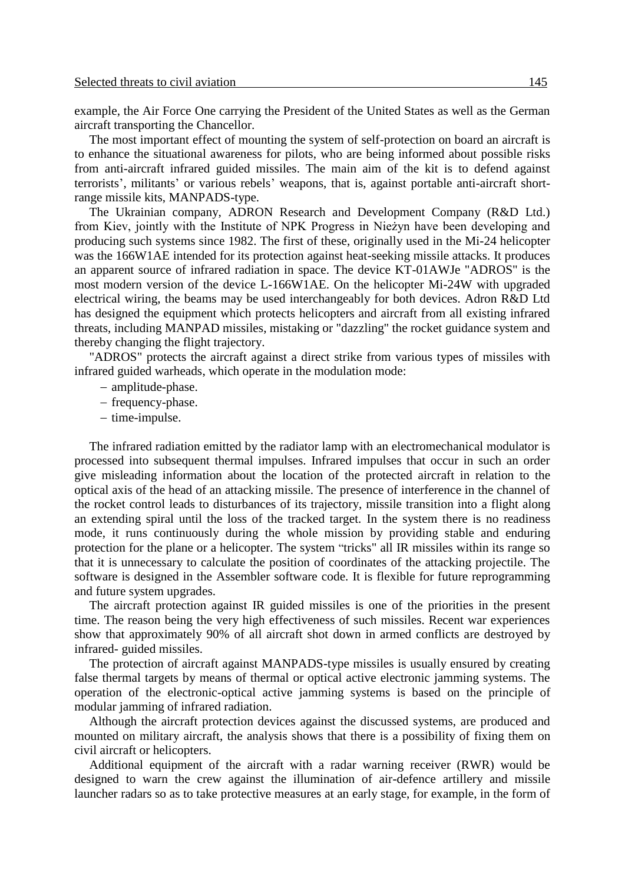example, the Air Force One carrying the President of the United States as well as the German aircraft transporting the Chancellor.

The most important effect of mounting the system of self-protection on board an aircraft is to enhance the situational awareness for pilots, who are being informed about possible risks from anti-aircraft infrared guided missiles. The main aim of the kit is to defend against terrorists', militants' or various rebels' weapons, that is, against portable anti-aircraft shortrange missile kits, MANPADS-type.

The Ukrainian company, ADRON Research and Development Company (R&D Ltd.) from Kiev, jointly with the Institute of NPK Progress in Nieżyn have been developing and producing such systems since 1982. The first of these, originally used in the Mi-24 helicopter was the 166W1AE intended for its protection against heat-seeking missile attacks. It produces an apparent source of infrared radiation in space. The device KT-01AWJe "ADROS" is the most modern version of the device L-166W1AE. On the helicopter Mi-24W with upgraded electrical wiring, the beams may be used interchangeably for both devices. Adron R&D Ltd has designed the equipment which protects helicopters and aircraft from all existing infrared threats, including MANPAD missiles, mistaking or "dazzling" the rocket guidance system and thereby changing the flight trajectory.

"ADROS" protects the aircraft against a direct strike from various types of missiles with infrared guided warheads, which operate in the modulation mode:

- amplitude-phase.
- frequency-phase.
- $-$  time-impulse.

The infrared radiation emitted by the radiator lamp with an electromechanical modulator is processed into subsequent thermal impulses. Infrared impulses that occur in such an order give misleading information about the location of the protected aircraft in relation to the optical axis of the head of an attacking missile. The presence of interference in the channel of the rocket control leads to disturbances of its trajectory, missile transition into a flight along an extending spiral until the loss of the tracked target. In the system there is no readiness mode, it runs continuously during the whole mission by providing stable and enduring protection for the plane or a helicopter. The system "tricks" all IR missiles within its range so that it is unnecessary to calculate the position of coordinates of the attacking projectile. The software is designed in the Assembler software code. It is flexible for future reprogramming and future system upgrades.

The aircraft protection against IR guided missiles is one of the priorities in the present time. The reason being the very high effectiveness of such missiles. Recent war experiences show that approximately 90% of all aircraft shot down in armed conflicts are destroyed by infrared- guided missiles.

The protection of aircraft against MANPADS-type missiles is usually ensured by creating false thermal targets by means of thermal or optical active electronic jamming systems. The operation of the electronic-optical active jamming systems is based on the principle of modular jamming of infrared radiation.

Although the aircraft protection devices against the discussed systems, are produced and mounted on military aircraft, the analysis shows that there is a possibility of fixing them on civil aircraft or helicopters.

Additional equipment of the aircraft with a radar warning receiver (RWR) would be designed to warn the crew against the illumination of air-defence artillery and missile launcher radars so as to take protective measures at an early stage, for example, in the form of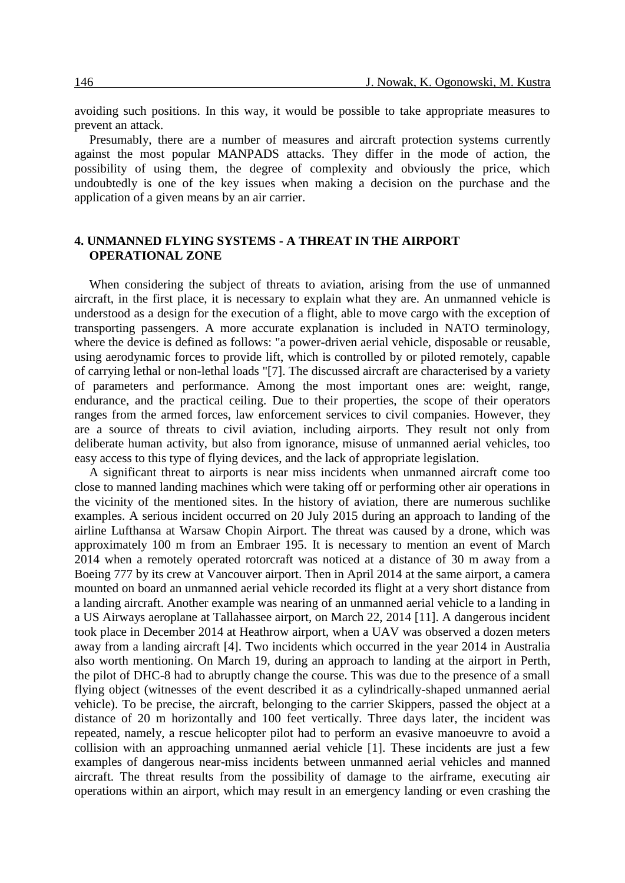avoiding such positions. In this way, it would be possible to take appropriate measures to prevent an attack.

Presumably, there are a number of measures and aircraft protection systems currently against the most popular MANPADS attacks. They differ in the mode of action, the possibility of using them, the degree of complexity and obviously the price, which undoubtedly is one of the key issues when making a decision on the purchase and the application of a given means by an air carrier.

### **4. UNMANNED FLYING SYSTEMS - A THREAT IN THE AIRPORT OPERATIONAL ZONE**

When considering the subject of threats to aviation, arising from the use of unmanned aircraft, in the first place, it is necessary to explain what they are. An unmanned vehicle is understood as a design for the execution of a flight, able to move cargo with the exception of transporting passengers. A more accurate explanation is included in NATO terminology, where the device is defined as follows: "a power-driven aerial vehicle, disposable or reusable, using aerodynamic forces to provide lift, which is controlled by or piloted remotely, capable of carrying lethal or non-lethal loads "[7]. The discussed aircraft are characterised by a variety of parameters and performance. Among the most important ones are: weight, range, endurance, and the practical ceiling. Due to their properties, the scope of their operators ranges from the armed forces, law enforcement services to civil companies. However, they are a source of threats to civil aviation, including airports. They result not only from deliberate human activity, but also from ignorance, misuse of unmanned aerial vehicles, too easy access to this type of flying devices, and the lack of appropriate legislation.

A significant threat to airports is near miss incidents when unmanned aircraft come too close to manned landing machines which were taking off or performing other air operations in the vicinity of the mentioned sites. In the history of aviation, there are numerous suchlike examples. A serious incident occurred on 20 July 2015 during an approach to landing of the airline Lufthansa at Warsaw Chopin Airport. The threat was caused by a drone, which was approximately 100 m from an Embraer 195. It is necessary to mention an event of March 2014 when a remotely operated rotorcraft was noticed at a distance of 30 m away from a Boeing 777 by its crew at Vancouver airport. Then in April 2014 at the same airport, a camera mounted on board an unmanned aerial vehicle recorded its flight at a very short distance from a landing aircraft. Another example was nearing of an unmanned aerial vehicle to a landing in a US Airways aeroplane at Tallahassee airport, on March 22, 2014 [11]. A dangerous incident took place in December 2014 at Heathrow airport, when a UAV was observed a dozen meters away from a landing aircraft [4]. Two incidents which occurred in the year 2014 in Australia also worth mentioning. On March 19, during an approach to landing at the airport in Perth, the pilot of DHC-8 had to abruptly change the course. This was due to the presence of a small flying object (witnesses of the event described it as a cylindrically-shaped unmanned aerial vehicle). To be precise, the aircraft, belonging to the carrier Skippers, passed the object at a distance of 20 m horizontally and 100 feet vertically. Three days later, the incident was repeated, namely, a rescue helicopter pilot had to perform an evasive manoeuvre to avoid a collision with an approaching unmanned aerial vehicle [1]. These incidents are just a few examples of dangerous near-miss incidents between unmanned aerial vehicles and manned aircraft. The threat results from the possibility of damage to the airframe, executing air operations within an airport, which may result in an emergency landing or even crashing the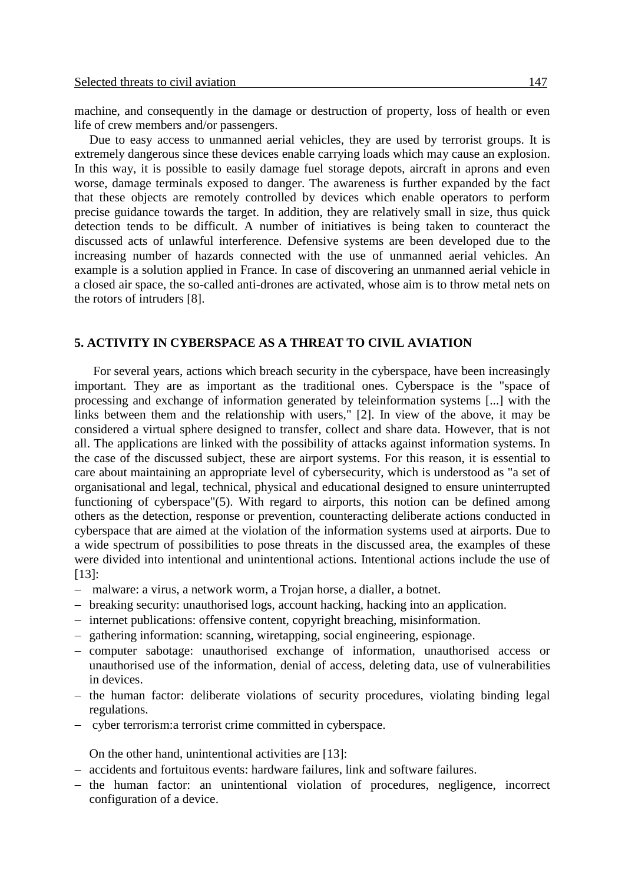machine, and consequently in the damage or destruction of property, loss of health or even life of crew members and/or passengers.

Due to easy access to unmanned aerial vehicles, they are used by terrorist groups. It is extremely dangerous since these devices enable carrying loads which may cause an explosion. In this way, it is possible to easily damage fuel storage depots, aircraft in aprons and even worse, damage terminals exposed to danger. The awareness is further expanded by the fact that these objects are remotely controlled by devices which enable operators to perform precise guidance towards the target. In addition, they are relatively small in size, thus quick detection tends to be difficult. A number of initiatives is being taken to counteract the discussed acts of unlawful interference. Defensive systems are been developed due to the increasing number of hazards connected with the use of unmanned aerial vehicles. An example is a solution applied in France. In case of discovering an unmanned aerial vehicle in a closed air space, the so-called anti-drones are activated, whose aim is to throw metal nets on the rotors of intruders [8].

#### **5. ACTIVITY IN CYBERSPACE AS A THREAT TO CIVIL AVIATION**

For several years, actions which breach security in the cyberspace, have been increasingly important. They are as important as the traditional ones. Cyberspace is the "space of processing and exchange of information generated by teleinformation systems [...] with the links between them and the relationship with users," [2]. In view of the above, it may be considered a virtual sphere designed to transfer, collect and share data. However, that is not all. The applications are linked with the possibility of attacks against information systems. In the case of the discussed subject, these are airport systems. For this reason, it is essential to care about maintaining an appropriate level of cybersecurity, which is understood as "a set of organisational and legal, technical, physical and educational designed to ensure uninterrupted functioning of cyberspace"(5). With regard to airports, this notion can be defined among others as the detection, response or prevention, counteracting deliberate actions conducted in cyberspace that are aimed at the violation of the information systems used at airports. Due to a wide spectrum of possibilities to pose threats in the discussed area, the examples of these were divided into intentional and unintentional actions. Intentional actions include the use of [13]:

- malware: a virus, a network worm, a Trojan horse, a dialler, a botnet.
- breaking security: unauthorised logs, account hacking, hacking into an application.
- internet publications: offensive content, copyright breaching, misinformation.
- gathering information: scanning, wiretapping, social engineering, espionage.
- computer sabotage: unauthorised exchange of information, unauthorised access or unauthorised use of the information, denial of access, deleting data, use of vulnerabilities in devices.
- $-$  the human factor: deliberate violations of security procedures, violating binding legal regulations.
- cyber terrorism: a terrorist crime committed in cyberspace.

On the other hand, unintentional activities are [13]:

- accidents and fortuitous events: hardware failures, link and software failures.
- the human factor: an unintentional violation of procedures, negligence, incorrect configuration of a device.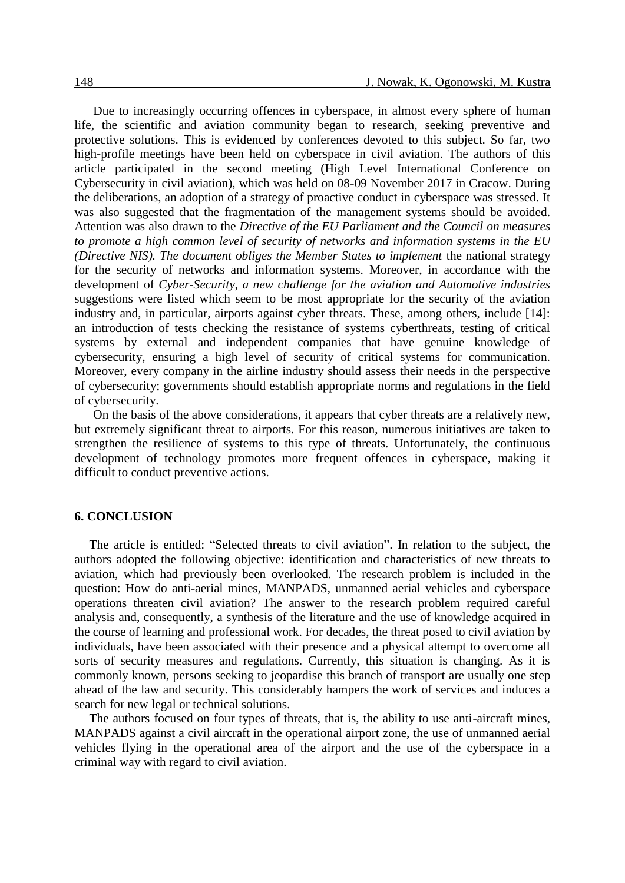Due to increasingly occurring offences in cyberspace, in almost every sphere of human life, the scientific and aviation community began to research, seeking preventive and protective solutions. This is evidenced by conferences devoted to this subject. So far, two high-profile meetings have been held on cyberspace in civil aviation. The authors of this article participated in the second meeting (High Level International Conference on Cybersecurity in civil aviation), which was held on 08-09 November 2017 in Cracow. During the deliberations, an adoption of a strategy of proactive conduct in cyberspace was stressed. It was also suggested that the fragmentation of the management systems should be avoided. Attention was also drawn to the *Directive of the EU Parliament and the Council on measures to promote a high common level of security of networks and information systems in the EU (Directive NIS). The document obliges the Member States to implement* the national strategy for the security of networks and information systems. Moreover, in accordance with the development of *Cyber-Security, a new challenge for the aviation and Automotive industries* suggestions were listed which seem to be most appropriate for the security of the aviation industry and, in particular, airports against cyber threats. These, among others, include [14]: an introduction of tests checking the resistance of systems cyberthreats, testing of critical systems by external and independent companies that have genuine knowledge of cybersecurity, ensuring a high level of security of critical systems for communication. Moreover, every company in the airline industry should assess their needs in the perspective of cybersecurity; governments should establish appropriate norms and regulations in the field of cybersecurity.

On the basis of the above considerations, it appears that cyber threats are a relatively new, but extremely significant threat to airports. For this reason, numerous initiatives are taken to strengthen the resilience of systems to this type of threats. Unfortunately, the continuous development of technology promotes more frequent offences in cyberspace, making it difficult to conduct preventive actions.

#### **6. CONCLUSION**

The article is entitled: "Selected threats to civil aviation". In relation to the subject, the authors adopted the following objective: identification and characteristics of new threats to aviation, which had previously been overlooked. The research problem is included in the question: How do anti-aerial mines, MANPADS, unmanned aerial vehicles and cyberspace operations threaten civil aviation? The answer to the research problem required careful analysis and, consequently, a synthesis of the literature and the use of knowledge acquired in the course of learning and professional work. For decades, the threat posed to civil aviation by individuals, have been associated with their presence and a physical attempt to overcome all sorts of security measures and regulations. Currently, this situation is changing. As it is commonly known, persons seeking to jeopardise this branch of transport are usually one step ahead of the law and security. This considerably hampers the work of services and induces a search for new legal or technical solutions.

The authors focused on four types of threats, that is, the ability to use anti-aircraft mines, MANPADS against a civil aircraft in the operational airport zone, the use of unmanned aerial vehicles flying in the operational area of the airport and the use of the cyberspace in a criminal way with regard to civil aviation.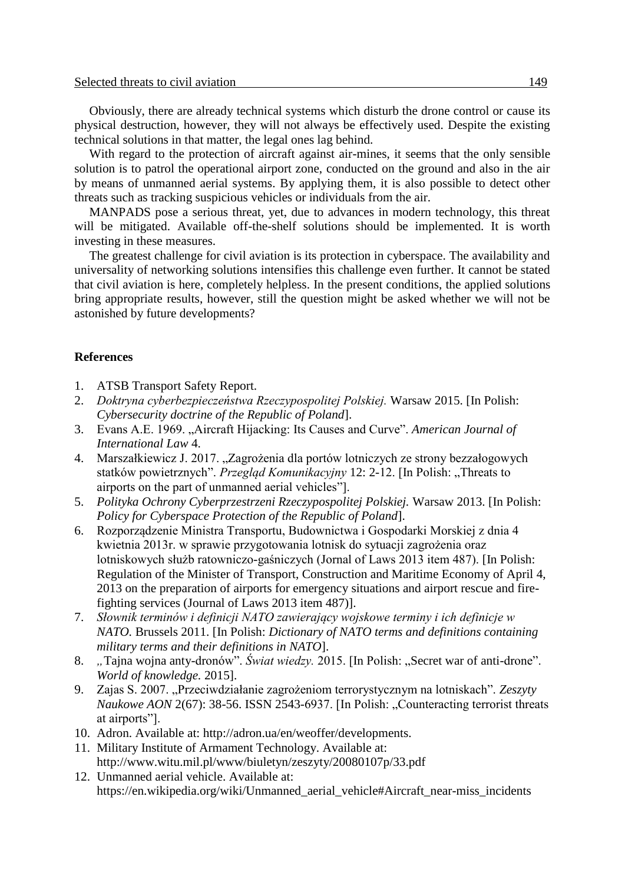Obviously, there are already technical systems which disturb the drone control or cause its physical destruction, however, they will not always be effectively used. Despite the existing technical solutions in that matter, the legal ones lag behind.

With regard to the protection of aircraft against air-mines, it seems that the only sensible solution is to patrol the operational airport zone, conducted on the ground and also in the air by means of unmanned aerial systems. By applying them, it is also possible to detect other threats such as tracking suspicious vehicles or individuals from the air.

MANPADS pose a serious threat, yet, due to advances in modern technology, this threat will be mitigated. Available off-the-shelf solutions should be implemented. It is worth investing in these measures.

The greatest challenge for civil aviation is its protection in cyberspace. The availability and universality of networking solutions intensifies this challenge even further. It cannot be stated that civil aviation is here, completely helpless. In the present conditions, the applied solutions bring appropriate results, however, still the question might be asked whether we will not be astonished by future developments?

#### **References**

- 1. ATSB Transport Safety Report.
- 2. *Doktryna cyberbezpieczeństwa Rzeczypospolitej Polskiej.* Warsaw 2015. [In Polish: *Cybersecurity doctrine of the Republic of Poland*].
- 3. Evans A.E. 1969. "Aircraft Hijacking: Its Causes and Curve". *American Journal of International Law* 4.
- 4. Marszałkiewicz J. 2017. "Zagrożenia dla portów lotniczych ze strony bezzałogowych statków powietrznych". *Przegląd Komunikacyjny* 12: 2-12. [In Polish: "Threats to airports on the part of unmanned aerial vehicles"].
- 5. *Polityka Ochrony Cyberprzestrzeni Rzeczypospolitej Polskiej.* Warsaw 2013. [In Polish: *Policy for Cyberspace Protection of the Republic of Poland*].
- 6. Rozporządzenie Ministra Transportu, Budownictwa i Gospodarki Morskiej z dnia 4 kwietnia 2013r. w sprawie przygotowania lotnisk do sytuacji zagrożenia oraz lotniskowych służb ratowniczo-gaśniczych (Jornal of Laws 2013 item 487). [In Polish: Regulation of the Minister of Transport, Construction and Maritime Economy of April 4, 2013 on the preparation of airports for emergency situations and airport rescue and firefighting services (Journal of Laws 2013 item 487)].
- 7. *Słownik terminów i definicji NATO zawierający wojskowe terminy i ich definicje w NATO.* Brussels 2011. [In Polish: *Dictionary of NATO terms and definitions containing military terms and their definitions in NATO*].
- 8. "Tajna wojna anty-dronów". *Świat wiedzy*. 2015. [In Polish: "Secret war of anti-drone". *World of knowledge.* 2015].
- 9. Zajas S. 2007. "Przeciwdziałanie zagrożeniom terrorystycznym na lotniskach". *Zeszyty Naukowe AON* 2(67): 38-56. ISSN 2543-6937. [In Polish: "Counteracting terrorist threats at airports"].
- 10. Adron. Available at: http://adron.ua/en/weoffer/developments.
- 11. Military Institute of Armament Technology. Available at: http://www.witu.mil.pl/www/biuletyn/zeszyty/20080107p/33.pdf
- 12. Unmanned aerial vehicle. Available at: https://en.wikipedia.org/wiki/Unmanned\_aerial\_vehicle#Aircraft\_near-miss\_incidents